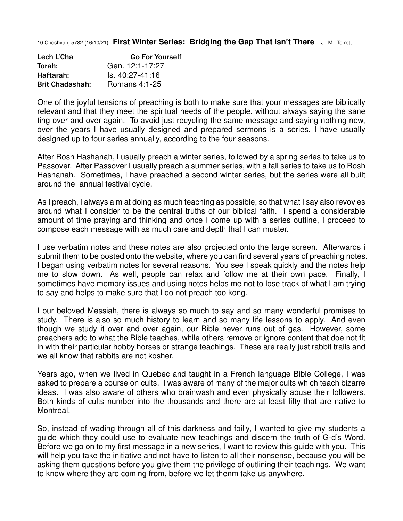10 Cheshvan, 5782 (16/10/21) **First Winter Series: Bridging the Gap That Isn't There** J. M. Terrett

| Lech L'Cha             | <b>Go For Yourself</b> |
|------------------------|------------------------|
| Torah:                 | Gen. 12:1-17:27        |
| Haftarah:              | ls. 40:27-41:16        |
| <b>Brit Chadashah:</b> | Romans 4:1-25          |

One of the joyful tensions of preaching is both to make sure that your messages are biblically relevant and that they meet the spiritual needs of the people, without always saying the sane ting over and over again. To avoid just recycling the same message and saying nothing new, over the years I have usually designed and prepared sermons is a series. I have usually designed up to four series annually, according to the four seasons.

After Rosh Hashanah, I usually preach a winter series, followed by a spring series to take us to Passover. After Passover I usually preach a summer series, with a fall series to take us to Rosh Hashanah. Sometimes, I have preached a second winter series, but the series were all built around the annual festival cycle.

As I preach, I always aim at doing as much teaching as possible, so that what I say also revovles around what I consider to be the central truths of our biblical faith. I spend a considerable amount of time praying and thinking and once I come up with a series outline, I proceed to compose each message with as much care and depth that I can muster.

I use verbatim notes and these notes are also projected onto the large screen. Afterwards i submit them to be posted onto the website, where you can find several years of preaching notes. I began using verbatim notes for several reasons. You see I speak quickly and the notes help me to slow down. As well, people can relax and follow me at their own pace. Finally, I sometimes have memory issues and using notes helps me not to lose track of what I am trying to say and helps to make sure that I do not preach too kong.

I our beloved Messiah, there is always so much to say and so many wonderful promises to study. There is also so much history to learn and so many life lessons to apply. And even though we study it over and over again, our Bible never runs out of gas. However, some preachers add to what the Bible teaches, while others remove or ignore content that doe not fit in with their particular hobby horses or strange teachings. These are really just rabbit trails and we all know that rabbits are not kosher.

Years ago, when we lived in Quebec and taught in a French language Bible College, I was asked to prepare a course on cults. I was aware of many of the major cults which teach bizarre ideas. I was also aware of others who brainwash and even physically abuse their followers. Both kinds of cults number into the thousands and there are at least fifty that are native to Montreal.

So, instead of wading through all of this darkness and foilly, I wanted to give my students a guide which they could use to evaluate new teachings and discern the truth of G-d's Word. Before we go on to my first message in a new series, I want to review this guide with you. This will help you take the initiative and not have to listen to all their nonsense, because you will be asking them questions before you give them the privilege of outlining their teachings. We want to know where they are coming from, before we let thenm take us anywhere.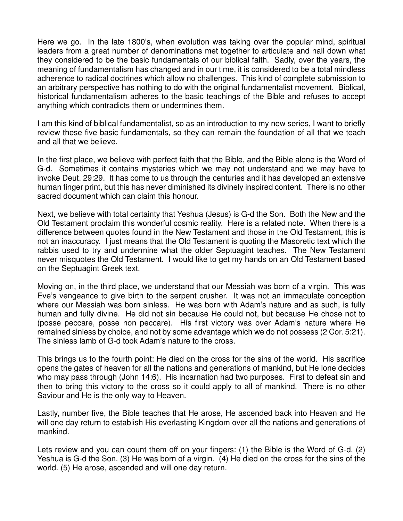Here we go. In the late 1800's, when evolution was taking over the popular mind, spiritual leaders from a great number of denominations met together to articulate and nail down what they considered to be the basic fundamentals of our biblical faith. Sadly, over the years, the meaning of fundamentalism has changed and in our time, it is considered to be a total mindless adherence to radical doctrines which allow no challenges. This kind of complete submission to an arbitrary perspective has nothing to do with the original fundamentalist movement. Biblical, historical fundamentalism adheres to the basic teachings of the Bible and refuses to accept anything which contradicts them or undermines them.

I am this kind of biblical fundamentalist, so as an introduction to my new series, I want to briefly review these five basic fundamentals, so they can remain the foundation of all that we teach and all that we believe.

In the first place, we believe with perfect faith that the Bible, and the Bible alone is the Word of G-d. Sometimes it contains mysteries which we may not understand and we may have to invoke Deut. 29:29. It has come to us through the centuries and it has developed an extensive human finger print, but this has never diminished its divinely inspired content. There is no other sacred document which can claim this honour.

Next, we believe with total certainty that Yeshua (Jesus) is G-d the Son. Both the New and the Old Testament proclaim this wonderful cosmic reality. Here is a related note. When there is a difference between quotes found in the New Testament and those in the Old Testament, this is not an inaccuracy. I just means that the Old Testament is quoting the Masoretic text which the rabbis used to try and undermine what the older Septuagint teaches. The New Testament never misquotes the Old Testament. I would like to get my hands on an Old Testament based on the Septuagint Greek text.

Moving on, in the third place, we understand that our Messiah was born of a virgin. This was Eve's vengeance to give birth to the serpent crusher. It was not an immaculate conception where our Messiah was born sinless. He was born with Adam's nature and as such, is fully human and fully divine. He did not sin because He could not, but because He chose not to (posse peccare, posse non peccare). His first victory was over Adam's nature where He remained sinless by choice, and not by some advantage which we do not possess (2 Cor. 5:21). The sinless lamb of G-d took Adam's nature to the cross.

This brings us to the fourth point: He died on the cross for the sins of the world. His sacrifice opens the gates of heaven for all the nations and generations of mankind, but He lone decides who may pass through (John 14:6). His incarnation had two purposes. First to defeat sin and then to bring this victory to the cross so it could apply to all of mankind. There is no other Saviour and He is the only way to Heaven.

Lastly, number five, the Bible teaches that He arose, He ascended back into Heaven and He will one day return to establish His everlasting Kingdom over all the nations and generations of mankind.

Lets review and you can count them off on your fingers: (1) the Bible is the Word of G-d. (2) Yeshua is G-d the Son. (3) He was born of a virgin. (4) He died on the cross for the sins of the world. (5) He arose, ascended and will one day return.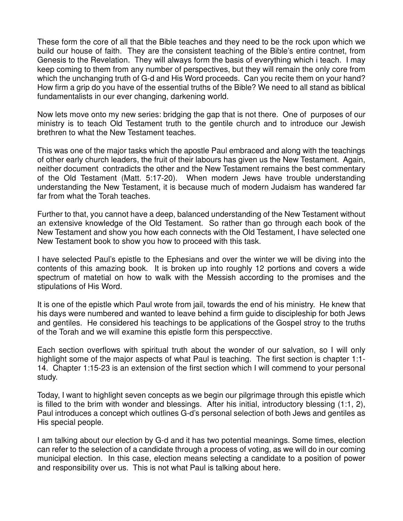These form the core of all that the Bible teaches and they need to be the rock upon which we build our house of faith. They are the consistent teaching of the Bible's entire contnet, from Genesis to the Revelation. They will always form the basis of everything which i teach. I may keep coming to them from any number of perspectives, but they will remain the only core from which the unchanging truth of G-d and His Word proceeds. Can you recite them on your hand? How firm a grip do you have of the essential truths of the Bible? We need to all stand as biblical fundamentalists in our ever changing, darkening world.

Now lets move onto my new series: bridging the gap that is not there. One of purposes of our ministry is to teach Old Testament truth to the gentile church and to introduce our Jewish brethren to what the New Testament teaches.

This was one of the major tasks which the apostle Paul embraced and along with the teachings of other early church leaders, the fruit of their labours has given us the New Testament. Again, neither document contradicts the other and the New Testament remains the best commentary of the Old Testament (Matt. 5:17-20). When modern Jews have trouble understanding understanding the New Testament, it is because much of modern Judaism has wandered far far from what the Torah teaches.

Further to that, you cannot have a deep, balanced understanding of the New Testament without an extensive knowledge of the Old Testament. So rather than go through each book of the New Testament and show you how each connects with the Old Testament, I have selected one New Testament book to show you how to proceed with this task.

I have selected Paul's epistle to the Ephesians and over the winter we will be diving into the contents of this amazing book. It is broken up into roughly 12 portions and covers a wide spectrum of matetial on how to walk with the Messish according to the promises and the stipulations of His Word.

It is one of the epistle which Paul wrote from jail, towards the end of his ministry. He knew that his days were numbered and wanted to leave behind a firm guide to discipleship for both Jews and gentiles. He considered his teachings to be applications of the Gospel stroy to the truths of the Torah and we will examine this epistle form this perspecctive.

Each section overflows with spiritual truth about the wonder of our salvation, so I will only highlight some of the major aspects of what Paul is teaching. The first section is chapter 1:1-14. Chapter 1:15-23 is an extension of the first section which I will commend to your personal study.

Today, I want to highlight seven concepts as we begin our pilgrimage through this epistle which is filled to the brim with wonder and blessings. After his initial, introductory blessing (1:1, 2), Paul introduces a concept which outlines G-d's personal selection of both Jews and gentiles as His special people.

I am talking about our election by G-d and it has two potential meanings. Some times, election can refer to the selection of a candidate through a process of voting, as we will do in our coming municipal election. In this case, election means selecting a candidate to a position of power and responsibility over us. This is not what Paul is talking about here.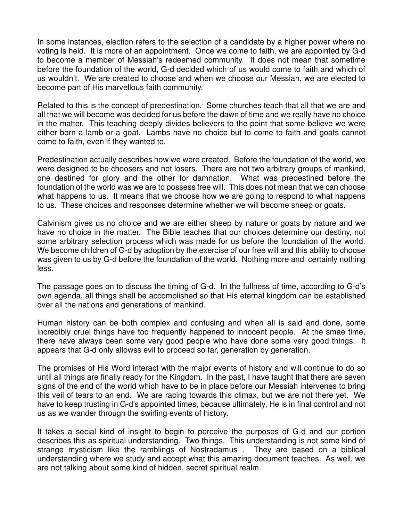In some instances, election refers to the selection of a candidate by a higher power where no voting is held. It is more of an appointment. Once we come to faith, we are appointed by G-d to become a member of Messiah's redeemed community. It does not mean that sometime before the foundation of the world, G-d decided which of us would come to faith and which of us wouldn't. We are created to choose and when we choose our Messiah, we are elected to become part of His marvellous faith community.

Related to this is the concept of predestination. Some churches teach that all that we are and all that we will become was decided for us before the dawn of time and we really have no choice in the matter. This teaching deeply divides believers to the point that some believe we were either born a lamb or a goat. Lambs have no choice but to come to faith and goats cannot come to faith, even if they wanted to.

Predestination actually describes how we were created. Before the foundation of the world, we were designed to be choosers and not losers. There are not two arbitrary groups of mankind, one destined for glory and the other for damnation. What was predestined before the foundation of the world was we are to possess free will. This does not mean that we can choose what happens to us. It means that we choose how we are going to respond to what happens to us. These choices and responses determine whether we will become sheep or goats.

Calvinism gives us no choice and we are either sheep by nature or goats by nature and we have no choice in the matter. The Bible teaches that our choices determine our destiny, not some arbitrary selection process which was made for us before the foundation of the world. We become children of G-d by adoption by the exercise of our free will and this ability to choose was given to us by G-d before the foundation of the world. Nothing more and certainly nothing less.

The passage goes on to discuss the timing of G-d. In the fullness of time, according to G-d's own agenda, all things shall be accomplished so that His eternal kingdom can be established over all the nations and generations of mankind.

Human history can be both complex and confusing and when all is said and done, some incredibly cruel things have too frequently happened to innocent people. At the smae time, there have always been some very good people who have done some very good things. It appears that G-d only allowss evil to proceed so far, generation by generation.

The promises of His Word interact with the major events of history and will continue to do so until all things are finally ready for the Kingdom. In the past, I have taught that there are seven signs of the end of the world which have to be in place before our Messiah intervenes to bring this veil of tears to an end. We are racing towards this climax, but we are not there yet. We have to keep trusting in G-d's appointed times, because ultimately, He is in final control and not us as we wander through the swirling events of history.

It takes a secial kind of insight to begin to perceive the purposes of G-d and our portion describes this as spiritual understanding. Two things. This understanding is not some kind of strange mysticism like the ramblings of Nostradamus . They are based on a biblical understanding where we study and accept what this amazing document teaches. As well, we are not talking about some kind of hidden, secret spiritual realm.